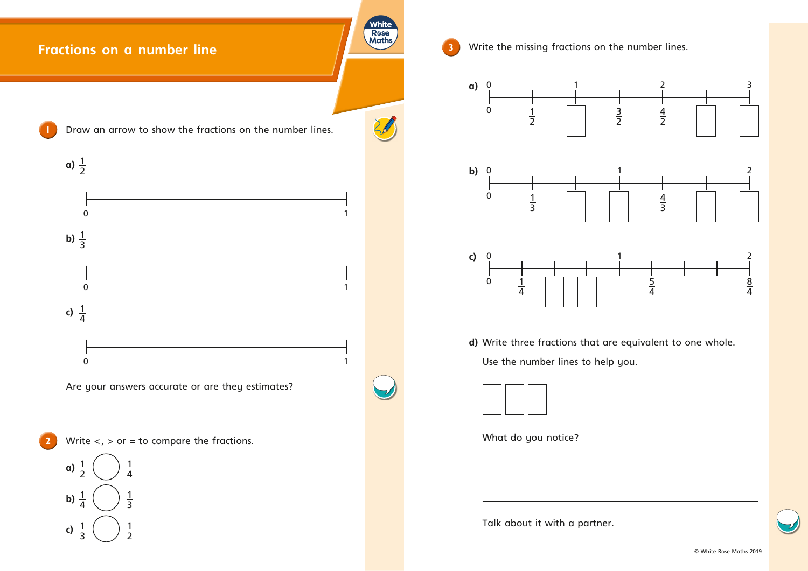



© White Rose Maths 2019